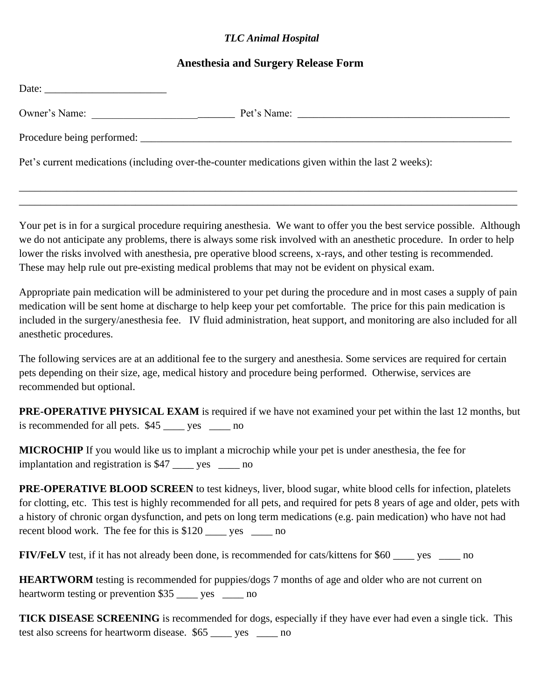## *TLC Animal Hospital*

## **Anesthesia and Surgery Release Form**

| Owner's Name:                                                                                     |  |
|---------------------------------------------------------------------------------------------------|--|
| Procedure being performed:                                                                        |  |
| Pet's current medications (including over-the-counter medications given within the last 2 weeks): |  |

\_\_\_\_\_\_\_\_\_\_\_\_\_\_\_\_\_\_\_\_\_\_\_\_\_\_\_\_\_\_\_\_\_\_\_\_\_\_\_\_\_\_\_\_\_\_\_\_\_\_\_\_\_\_\_\_\_\_\_\_\_\_\_\_\_\_\_\_\_\_\_\_\_\_\_\_\_\_\_\_\_\_\_\_\_\_\_\_\_\_\_\_\_\_ \_\_\_\_\_\_\_\_\_\_\_\_\_\_\_\_\_\_\_\_\_\_\_\_\_\_\_\_\_\_\_\_\_\_\_\_\_\_\_\_\_\_\_\_\_\_\_\_\_\_\_\_\_\_\_\_\_\_\_\_\_\_\_\_\_\_\_\_\_\_\_\_\_\_\_\_\_\_\_\_\_\_\_\_\_\_\_\_\_\_\_\_\_\_

Your pet is in for a surgical procedure requiring anesthesia. We want to offer you the best service possible. Although we do not anticipate any problems, there is always some risk involved with an anesthetic procedure. In order to help lower the risks involved with anesthesia, pre operative blood screens, x-rays, and other testing is recommended. These may help rule out pre-existing medical problems that may not be evident on physical exam.

Appropriate pain medication will be administered to your pet during the procedure and in most cases a supply of pain medication will be sent home at discharge to help keep your pet comfortable. The price for this pain medication is included in the surgery/anesthesia fee. IV fluid administration, heat support, and monitoring are also included for all anesthetic procedures.

The following services are at an additional fee to the surgery and anesthesia. Some services are required for certain pets depending on their size, age, medical history and procedure being performed. Otherwise, services are recommended but optional.

**PRE-OPERATIVE PHYSICAL EXAM** is required if we have not examined your pet within the last 12 months, but is recommended for all pets. \$45 \_\_\_\_ yes \_\_\_\_ no

**MICROCHIP** If you would like us to implant a microchip while your pet is under anesthesia, the fee for implantation and registration is \$47 \_\_\_\_ yes \_\_\_\_ no

**PRE-OPERATIVE BLOOD SCREEN** to test kidneys, liver, blood sugar, white blood cells for infection, platelets for clotting, etc. This test is highly recommended for all pets, and required for pets 8 years of age and older, pets with a history of chronic organ dysfunction, and pets on long term medications (e.g. pain medication) who have not had recent blood work. The fee for this is \$120 ves no

**FIV/FeLV** test, if it has not already been done, is recommended for cats/kittens for \$60 \_\_\_\_ yes \_\_\_\_ no

**HEARTWORM** testing is recommended for puppies/dogs 7 months of age and older who are not current on heartworm testing or prevention \$35 wes ho

**TICK DISEASE SCREENING** is recommended for dogs, especially if they have ever had even a single tick. This test also screens for heartworm disease. \$65 \_\_\_\_ yes \_\_\_\_ no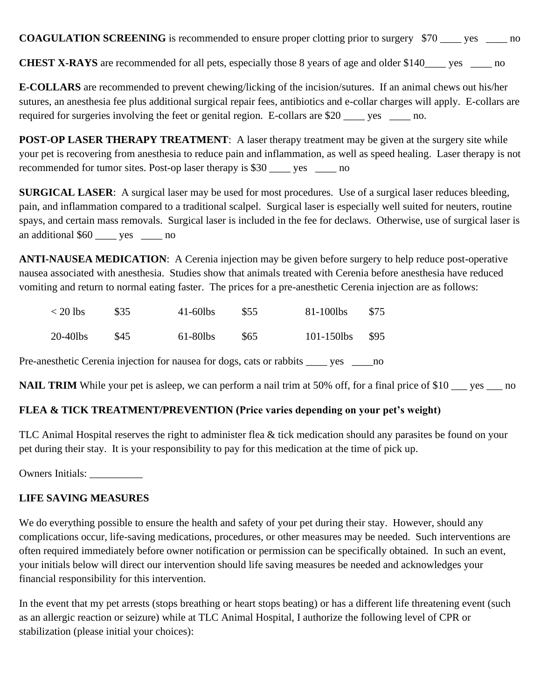**COAGULATION SCREENING** is recommended to ensure proper clotting prior to surgery \$70 \_\_\_\_ yes \_\_\_\_ no

**CHEST X-RAYS** are recommended for all pets, especially those 8 years of age and older \$140\_\_\_\_ yes \_\_\_\_ no

**E-COLLARS** are recommended to prevent chewing/licking of the incision/sutures. If an animal chews out his/her sutures, an anesthesia fee plus additional surgical repair fees, antibiotics and e-collar charges will apply. E-collars are required for surgeries involving the feet or genital region. E-collars are \$20 \_\_\_\_ yes \_\_\_\_\_ no.

**POST-OP LASER THERAPY TREATMENT:** A laser therapy treatment may be given at the surgery site while your pet is recovering from anesthesia to reduce pain and inflammation, as well as speed healing. Laser therapy is not recommended for tumor sites. Post-op laser therapy is \$30 \_\_\_\_ yes \_\_\_\_ no

**SURGICAL LASER:** A surgical laser may be used for most procedures. Use of a surgical laser reduces bleeding, pain, and inflammation compared to a traditional scalpel. Surgical laser is especially well suited for neuters, routine spays, and certain mass removals. Surgical laser is included in the fee for declaws. Otherwise, use of surgical laser is an additional \$60 \_\_\_\_ yes \_\_\_\_ no

**ANTI-NAUSEA MEDICATION**: A Cerenia injection may be given before surgery to help reduce post-operative nausea associated with anesthesia. Studies show that animals treated with Cerenia before anesthesia have reduced vomiting and return to normal eating faster. The prices for a pre-anesthetic Cerenia injection are as follows:

| $<$ 20 lbs | \$35 | $41-60$ lbs | \$55 | 81-100lbs       | \$75 |
|------------|------|-------------|------|-----------------|------|
| 20-40lbs   | \$45 | $61-80$ lbs | S65  | $101 - 150$ lbs | \$95 |

Pre-anesthetic Cerenia injection for nausea for dogs, cats or rabbits \_\_\_\_ yes \_\_\_\_no

**NAIL TRIM** While your pet is asleep, we can perform a nail trim at 50% off, for a final price of \$10 \_\_\_ yes \_\_\_ no

## **FLEA & TICK TREATMENT/PREVENTION (Price varies depending on your pet's weight)**

TLC Animal Hospital reserves the right to administer flea & tick medication should any parasites be found on your pet during their stay. It is your responsibility to pay for this medication at the time of pick up.

Owners Initials:

## **LIFE SAVING MEASURES**

We do everything possible to ensure the health and safety of your pet during their stay. However, should any complications occur, life-saving medications, procedures, or other measures may be needed. Such interventions are often required immediately before owner notification or permission can be specifically obtained. In such an event, your initials below will direct our intervention should life saving measures be needed and acknowledges your financial responsibility for this intervention.

In the event that my pet arrests (stops breathing or heart stops beating) or has a different life threatening event (such as an allergic reaction or seizure) while at TLC Animal Hospital, I authorize the following level of CPR or stabilization (please initial your choices):